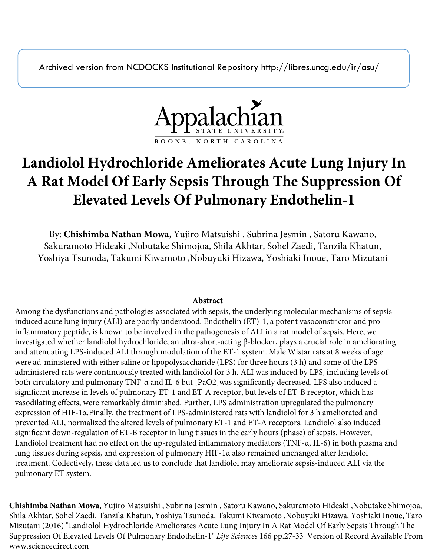Archived version from NCDOCKS Institutional Repository http://libres.uncg.edu/ir/asu/



# **Landiolol Hydrochloride Ameliorates Acute Lung Injury In A Rat Model Of Early Sepsis Through The Suppression Of Elevated Levels Of Pulmonary Endothelin-1**

By: **Chishimba Nathan Mowa,** Yujiro Matsuishi , Subrina Jesmin , Satoru Kawano, Sakuramoto Hideaki ,Nobutake Shimojoa, Shila Akhtar, Sohel Zaedi, Tanzila Khatun, Yoshiya Tsunoda, Takumi Kiwamoto ,Nobuyuki Hizawa, Yoshiaki Inoue, Taro Mizutani

# **Abstract**

Among the dysfunctions and pathologies associated with sepsis, the underlying molecular mechanisms of sepsisinduced acute lung injury (ALI) are poorly understood. Endothelin (ET)-1, a potent vasoconstrictor and proinflammatory peptide, is known to be involved in the pathogenesis of ALI in a rat model of sepsis. Here, we investigated whether landiolol hydrochloride, an ultra-short-acting β-blocker, plays a crucial role in ameliorating and attenuating LPS-induced ALI through modulation of the ET-1 system. Male Wistar rats at 8 weeks of age were ad-ministered with either saline or lipopolysaccharide (LPS) for three hours (3 h) and some of the LPSadministered rats were continuously treated with landiolol for 3 h. ALI was induced by LPS, including levels of both circulatory and pulmonary TNF-α and IL-6 but [PaO2]was significantly decreased. LPS also induced a significant increase in levels of pulmonary ET-1 and ET-A receptor, but levels of ET-B receptor, which has vasodilating effects, were remarkably diminished. Further, LPS administration upregulated the pulmonary expression of HIF-1α.Finally, the treatment of LPS-administered rats with landiolol for 3 h ameliorated and prevented ALI, normalized the altered levels of pulmonary ET-1 and ET-A receptors. Landiolol also induced significant down-regulation of ET-B receptor in lung tissues in the early hours (phase) of sepsis. However, Landiolol treatment had no effect on the up-regulated inflammatory mediators (TNF-α, IL-6) in both plasma and lung tissues during sepsis, and expression of pulmonary HIF-1α also remained unchanged after landiolol treatment. Collectively, these data led us to conclude that landiolol may ameliorate sepsis-induced ALI via the pulmonary ET system.

**Chishimba Nathan Mowa**, Yujiro Matsuishi , Subrina Jesmin , Satoru Kawano, Sakuramoto Hideaki ,Nobutake Shimojoa, Shila Akhtar, Sohel Zaedi, Tanzila Khatun, Yoshiya Tsunoda, Takumi Kiwamoto ,Nobuyuki Hizawa, Yoshiaki Inoue, Taro Mizutani (2016) "Landiolol Hydrochloride Ameliorates Acute Lung Injury In A Rat Model Of Early Sepsis Through The Suppression Of Elevated Levels Of Pulmonary Endothelin-1" *Life Sciences* 166 pp.27-33 Version of Record Available From www.sciencedirect.com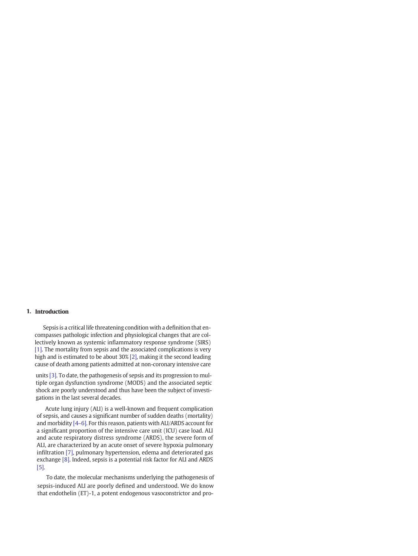## 1. Introduction

Sepsis is a critical life threatening condition with a definition that encompasses pathologic infection and physiological changes that are collectively known as systemic inflammatory response syndrome (SIRS) [1]. The mortality from sepsis and the associated complications is very high and is estimated to be about 30% [2], making it the second leading cause of death among patients admitted at non-coronary intensive care

units [3]. To date, the pathogenesis of sepsis and its progression to multiple organ dysfunction syndrome (MODS) and the associated septic shock are poorly understood and thus have been the subject of investigations in the last several decades.

Acute lung injury (ALI) is a well-known and frequent complication of sepsis, and causes a significant number of sudden deaths (mortality) and morbidity [4–6]. For this reason, patients with ALI/ARDS account for a significant proportion of the inte[nsiv](#page-6-0)e care unit (ICU) case load. ALI and acute respiratory distress syndrome (ARDS), the severe form of ALI, are characterized by an acute onset of severe hypoxia pulmonary infiltration [7], pulmonary hypertension, edema and deteriorated gas exchange [8]. Indeed, sepsis is a potential risk factor for ALI and ARDS [5].

To date, the molecular mechanisms underlying the pathogenesis of sepsis-induced ALI are poorly defined and understood. We do know that [endothelin](mailto:mizutani@md.tsukuba.ac.jp) (ET)-1, a potent endogenous vasoconstrictor and pro-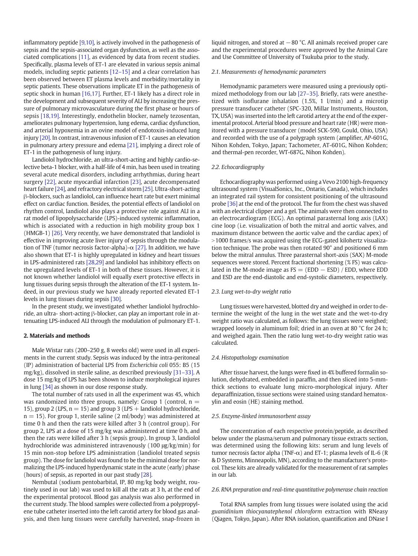inflammatory peptide [\[9,10\],](#page-6-0) is actively involved in the pathogenesis of sepsis and the sepsis-associated organ dysfunction, as well as the associated complications [\[11\]](#page-6-0), as evidenced by data from recent studies. Specifically, plasma levels of ET-1 are elevated in various sepsis animal models, including septic patients [\[12](#page-6-0)–15] and a clear correlation has been observed between ET plasma levels and morbidity/mortality in septic patients. These observations implicate ET in the pathogenesis of septic shock in human [\[16,17\]](#page-7-0). Further, ET-1 likely has a direct role in the development and subsequent severity of ALI by increasing the pressure of pulmonary microvasculature during the first phase or hours of sepsis [\[18,19\]](#page-7-0). Interestingly, endothelin blocker, namely tezosentan, ameliorates pulmonary hypertension, lung edema, cardiac dysfunction, and arterial hypoxemia in an ovine model of endotoxin-induced lung injury [\[20\]](#page-7-0). In contrast, intravenous infusion of ET-1 causes an elevation in pulmonary artery pressure and edema [\[21\],](#page-7-0) implying a direct role of ET-1 in the pathogenesis of lung injury.

Landiolol hydrochloride, an ultra-short-acting and highly cardio-selective beta-1 blocker, with a half-life of 4 min, has been used in treating several acute medical disorders, including arrhythmias, during heart surgery [\[22\],](#page-7-0) acute myocardial infarction [\[23\],](#page-7-0) acute decompensated heart failure [\[24\],](#page-7-0) and refractory electrical storm [\[25\].](#page-7-0) Ultra-short-acting β-blockers, such as landiolol, can influence heart rate but exert minimal effect on cardiac function. Besides, the potential effects of landiolol on rhythm control, landiolol also plays a protective role against ALI in a rat model of lipopolysaccharide (LPS)-induced systemic inflammation, which is associated with a reduction in high mobility group box 1 (HMGB-1) [\[26\]](#page-7-0). Very recently, we have demonstrated that landiolol is effective in improving acute liver injury of sepsis through the modulation of TNF (tumor necrosis factor-alpha)- $\alpha$  [\[27\].](#page-7-0) In addition, we have also shown that ET-1 is highly upregulated in kidney and heart tissues in LPS-administered rats [\[28,29\]](#page-7-0) and landiolol has inhibitory effects on the upregulated levels of ET-1 in both of these tissues. However, it is not known whether landiolol will equally exert protective effects in lung tissues during sepsis through the alteration of the ET-1 system. Indeed, in our previous study we have already reported elevated ET-1 levels in lung tissues during sepsis [\[30\]](#page-7-0).

In the present study, we investigated whether landiolol hydrochloride, an ultra- short-acting β-blocker, can play an important role in attenuating LPS-induced ALI through the modulation of pulmonary ET-1.

## 2. Materials and methods

Male Wistar rats (200–250 g, 8 weeks old) were used in all experiments in the current study. Sepsis was induced by the intra-peritoneal (IP) administration of bacterial LPS from Escherichia coli 055: B5 (15 mg/kg), dissolved in sterile saline, as described previously [\[31](#page-7-0)–33]. A dose 15 mg/kg of LPS has been shown to induce morphological injures in lung [\[34\]](#page-7-0) as shown in our dose response study.

The total number of rats used in all the experiment was 45, which was randomized into three groups, namely: Group 1 (control,  $n =$ 15), group 2 (LPS,  $n = 15$ ) and group 3 (LPS + landiolol hydrochloride,  $n = 15$ ). For group 1, sterile saline (2 ml/body) was administered at time 0 h and then the rats were killed after 3 h (control group). For group 2, LPS at a dose of 15 mg/kg was administered at time 0 h, and then the rats were killed after 3 h (sepsis group). In group 3, landiolol hydrochloride was administered intravenously (100 μg/kg/min) for 15 min non-stop before LPS administration (landiolol treated sepsis group). The dose for landiolol was found to be the minimal dose for normalizing the LPS-induced hyperdynamic state in the acute (early) phase (hours) of sepsis, as reported in our past study [\[28\].](#page-7-0)

Nembutal (sodium pentobarbital, IP, 80 mg/kg body weight, routinely used in our lab) was used to kill all the rats at 3 h, at the end of the experimental protocol. Blood gas analysis was also performed in the current study. The blood samples were collected from a polypropylene tube catheter inserted into the left carotid artery for blood gas analysis, and then lung tissues were carefully harvested, snap-frozen in

liquid nitrogen, and stored at  $-80$  °C. All animals received proper care and the experimental procedures were approved by the Animal Care and Use Committee of University of Tsukuba prior to the study.

## 2.1. Measurements of hemodynamic parameters

Hemodynamic parameters were measured using a previously optimized methodology from our lab [27–[35\].](#page-7-0) Briefly, rats were anesthetized with isoflurane inhalation (1.5%, 1 l/min) and a microtip pressure transducer catheter (SPC-320, Millar Instruments, Houston, TX, USA) was inserted into the left carotid artery at the end of the experimental protocol. Arterial blood pressure and heart rate (HR) were monitored with a pressure transducer (model SCK-590, Gould, Ohio, USA) and recorded with the use of a polygraph system (amplifier, AP-601G, Nihon Kohden, Tokyo, Japan; Tachometer, AT-601G, Nihon Kohden; and thermal-pen recorder, WT-687G, Nihon Kohden).

## 2.2. Echocardiography

Echocardiography was performed using a Vevo 2100 high-frequency ultrasound system (VisualSonics, Inc., Ontario, Canada), which includes an integrated rail system for consistent positioning of the ultrasound probe [\[36\]](#page-7-0) at the end of the protocol. The fur from the chest was shaved with an electrical clipper and a gel. The animals were then connected to an electrocardiogram (ECG). An optimal parasternal long axis (LAX) cine loop (i.e. visualization of both the mitral and aortic valves, and maximum distance between the aortic valve and the cardiac apex) of >1000 frames/s was acquired using the ECG-gated kilohertz visualization technique. The probe was then rotated 90° and positioned 6 mm below the mitral annulus. Three parasternal short-axis (SAX) M-mode sequences were stored. Percent fractional shortening (% FS) was calculated in the M-mode image as  $FS = (EDD - ESD) / EDD$ , where EDD and ESD are the end-diastolic and end-systolic diameters, respectively.

## 2.3. Lung wet-to-dry weight ratio

Lung tissues were harvested, blotted dry and weighed in order to determine the weight of the lung in the wet state and the wet-to-dry weight ratio was calculated, as follows: the lung tissues were weighed; wrapped loosely in aluminum foil; dried in an oven at 80 °C for 24 h; and weighed again. Then the ratio lung wet-to-dry weight ratio was calculated.

## 2.4. Histopathology examination

After tissue harvest, the lungs were fixed in 4% buffered formalin solution, dehydrated, embedded in paraffin, and then sliced into 5-mmthick sections to evaluate lung micro-morphological injury. After deparaffinization, tissue sections were stained using standard hematoxylin and eosin (HE) staining method.

## 2.5. Enzyme-linked immunosorbent assay

The concentration of each respective protein/peptide, as described below under the plasma/serum and pulmonary tissue extracts section, was determined using the following kits: serum and lung levels of tumor necrosis factor alpha (TNF- $\alpha$ ) and ET-1; plasma levels of IL-6 (R & D Systems, Minneapolis, MN), according to the manufacturer's protocol. These kits are already validated for the measurement of rat samples in our lab.

## 2.6. RNA preparation and real-time quantitative polymerase chain reaction

Total RNA samples from lung tissues were isolated using the acid guanidinium thiocyanatephenol chloroform extraction with RNeasy (Qiagen, Tokyo, Japan). After RNA isolation, quantification and DNase I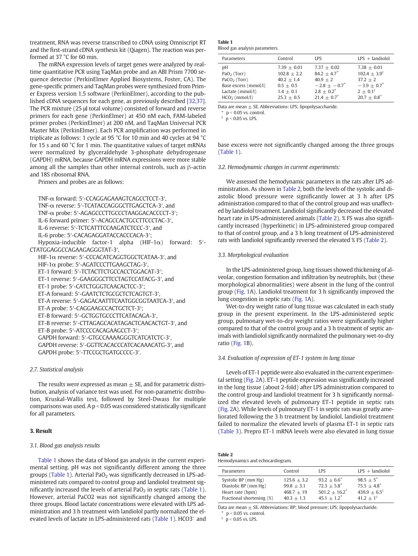treatment, RNA was reverse transcribed to cDNA using Omniscript RT and the first-strand cDNA synthesis kit (Qiagen). The reaction was performed at 37 °C for 60 min.

The mRNA expression levels of target genes were analyzed by realtime quantitative PCR using TaqMan probe and an ABI Prism 7700 sequence detector (PerkinElmer Applied Biosystems, Foster, CA). The gene-specific primers and TaqMan probes were synthesized from Primer Express version 1.5 software (PerkinElmer), according to the published cDNA sequences for each gene, as previously described [\[32,37\].](#page-7-0) The PCR mixture (25 μl total volume) consisted of forward and reverse primers for each gene (PerkinElmer) at 450 nM each, FAM-labeled primer probes (PerkinElmer) at 200 nM, and TaqMan Universal PCR Master Mix (PerkinElmer). Each PCR amplification was performed in triplicate as follows: 1 cycle at 95 °C for 10 min and 40 cycles at 94 °C for 15 s and 60 °C for 1 min. The quantitative values of target mRNAs were normalized by glyceraldehyde 3-phosphate dehydrogenase (GAPDH) mRNA, because GAPDH mRNA expressions were more stable among all the samples than other internal controls, such as β-actin and 18S ribosomal RNA.

Primers and probes are as follows:

TNF-α forward: 5′-CCAGGAGAAAGTCAGCCTCCT-3′, TNF-α reverse: 5′-TCATACCAGGGCTTGAGCTCA-3′, and TNF-α probe: 5′-AGAGCCCTTGCCCTAAGGACACCCCT-3′; IL-6 forward primer: 5′-ACAGCCACTGCCTTCCCTAC-3′, IL-6 reverse: 5′-TCTCATTTCCAAGATCTCCC-3′, and IL-6 probe: 5′-CACAGAGGATACCACCCACA-3′; Hypoxia-inducible factor-1 alpha (HIF-1 $\alpha$ ) forward: 5<sup>'</sup>-CTATGGAGGCCAGAAGAGGGTAT-3′, HIF-1α reverse: 5′-CCCACATCAGGTGGCTCATAA-3′, and HIF-1α probe: 5′-AGATCCCTTGAAGCTAG-3′, ET-1 forward: 5′-TCTACTTCTGCCACCTGGACAT-3′; ET-1 reverse: 5′-GAAGGGCTTCCTAGTCCATACG-3′, and ET-1 probe: 5′-CATCTGGGTCAACACTCC-3′; ET-A forward: 5′-GAATCTCTGCGCTCTCAGTGT-3′, ET-A reverse: 5′-GAGACAATTTCAATGGCGGTAATCA-3′, and ET-A probe: 5′-CAGGAAGCCACTGCTCT-3′; ET-B forward: 5′-GCTGGTGCCCTTCATACAGA-3′, ET-B reverse: 5′-CTTAGAGCACATAGACTCAACACTGT-3′, and ET-B probe: 5′-ATCCCCACAGAAGCCT-3′; GAPDH forward: 5′-GTGCCAAAAGGGTCATCATCTC-3′, GAPDH reverse: 5′-GGTTCACACCCATCACAAACATG-3′, and GAPDH probe: 5′-TTCCGCTGATGCCCC-3′.

## 2.7. Statistical analysis

The results were expressed as mean  $\pm$  SE, and for parametric distribution, analysis of variance test was used. For non-parametric distribution, Kruskal-Wallis test, followed by Steel-Dwass for multiple comparisons was used. A  $p < 0.05$  was considered statistically significant for all parameters.

## 3. Result

## 3.1. Blood gas analysis results

Table 1 shows the data of blood gas analysis in the current experimental setting. pH was not significantly different among the three groups (Table 1). Arterial PaO<sub>2</sub> was significantly decreased in LPS-administered rats compared to control group and landiolol treatment significantly increased the levels of arterial PaO<sub>2</sub> in septic rats (Table 1). However, arterial PaCO2 was not significantly changed among the three groups. Blood lactate concentrations were elevated with LPS administration and 3 h treatment with landiolol partly normalized the elevated levels of lactate in LPS-administered rats (Table 1). HCO3– and

#### Table 1 Blood gas analysis parameters.

| Parameters           | Control                        | LPS                             | $LPS$ + landiolol                       |
|----------------------|--------------------------------|---------------------------------|-----------------------------------------|
| pΗ<br>$PaO2$ (Torr)  | $7.39 + 0.01$<br>$102.8 + 2.2$ | $7.37 + 0.02$<br>$84.2 + 4.7^*$ | $7.38 + 0.01$<br>$102.4 + 3.9^{\sharp}$ |
| $PaCO2$ (Torr)       | $40.2 + 1.4$                   | $40.9 + 2$                      | $37.2 + 2$                              |
| Base excess (mmol/l) | $0.5 + 0.5$                    | $-2.8 + -0.7^*$                 | $-3.9 + 0.7^*$                          |
| Lactate (mmol/l)     | $1.4 + 0.1$                    | $2.8 + 0.2^*$                   | $2 + 0.1^{\sharp}$                      |
| $HCO3$ (mmol/l)      | $25.3 + 0.5$                   | $21.4 + 0.7^*$                  | $20.7 + 0.8^*$                          |

Data are mean  $\pm$  SE. Abbreviations: LPS; lipopolysaccharide.

 $*$  p < 0.05 vs. control.

 $\frac{1}{p}$  p < 0.05 vs. LPS.

base excess were not significantly changed among the three groups (Table 1).

## 3.2. Hemodynamic changes in current experiments:

We assessed the hemodynamic parameters in the rats after LPS administration. As shown in Table 2, both the levels of the systolic and diastolic blood pressure were significantly lower at 3 h after LPS administration compared to that of the control group and was unaffected by landiolol treatment. Landiolol significantly decreased the elevated heart rate in LPS-administered animals (Table 2). % FS was also significantly increased (hyperkinetic) in LPS-administered group compared to that of control group, and a 3 h long treatment of LPS-administered rats with landiolol significantly reversed the elevated % FS (Table 2).

## 3.3. Morphological evaluation

In the LPS-administered group, lung tissues showed thickening of alveolar, congestion formation and infiltration by neutrophils, but (these morphological abnormalities) were absent in the lung of the control group [\(Fig. 1](#page-4-0)A). Landiolol treatment for 3 h significantly improved the lung congestion in septic rats ([Fig. 1](#page-4-0)A).

Wet-to-dry weight ratio of lung tissue was calculated in each study group in the present experiment. In the LPS-administered septic group, pulmonary wet-to-dry weight ratios were significantly higher compared to that of the control group and a 3 h treatment of septic animals with landiolol significantly normalized the pulmonary wet-to-dry ratio ([Fig. 1](#page-4-0)B).

## 3.4. Evaluation of expression of ET-1 system in lung tissue

Levels of ET-1 peptide were also evaluated in the current experimental setting ([Fig. 2A](#page-4-0)). ET-1 peptide expression was significantly increased in the lung tissue (about 2-fold) after LPS administration compared to the control group and landiolol treatment for 3 h significantly normalized the elevated levels of pulmonary ET-1 peptide in septic rats [\(Fig. 2](#page-4-0)A). While levels of pulmonary ET-1 in septic rats was greatly ameliorated following the 3 h treatment by landiolol, landiolol treatment failed to normalize the elevated levels of plasma ET-1 in septic rats [\(Table 3](#page-5-0)). Prepro ET-1 mRNA levels were also elevated in lung tissue

# Table 2

## Hemodynamics and echocardiogram.

| Control       | LPS                                          | $LPS$ + landiolol                                    |
|---------------|----------------------------------------------|------------------------------------------------------|
| $125.6 + 3.2$ | $93.2 + 6.6^*$                               | $98.5+5$ <sup>*</sup>                                |
|               |                                              | $75.5 + 4.8^*$<br>$439.9 + 6.5^{\sharp}$             |
|               |                                              | $41.2 + 1^{\sharp}$                                  |
|               | $99.8 + 3.1$<br>$468.7 + 19$<br>$40.3 + 1.3$ | $72.3 + 5.8^*$<br>$501.2 + 16.2^*$<br>$45.1 + 1.2^*$ |

Data are mean  $\pm$  SE. Abbreviations: BP; blood pressure; LPS; lipopolysaccharide.

 $p < 0.05$  vs. control.

 $p < 0.05$  vs. LPS.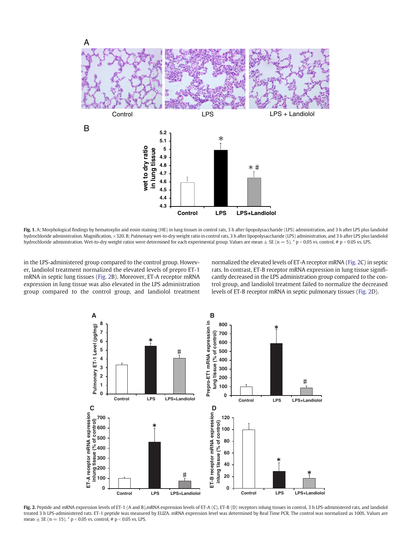<span id="page-4-0"></span>

Fig. 1. A; Morphological findings by hematoxylin and eosin staining (HE) in lung tissues in control rats, 3 h after lipopolysaccharide (LPS) administration, and 3 h after LPS plus landiolol hydrochloride administration. Magnification, ×320. B; Pulmonary wet-to-dry weight ratio in control rats, 3 h after lipopolysaccharide (LPS) administration, and 3 h after LPS plus landiolol hydrochloride administration. Wet-to-dry weight ratios were determined for each experimental group. Values are mean  $\pm$  SE (n = 5). \* p < 0.05 vs. control, # p < 0.05 vs. LPS.

in the LPS-administered group compared to the control group. However, landiolol treatment normalized the elevated levels of prepro ET-1 mRNA in septic lung tissues (Fig. 2B). Moreover, ET-A receptor mRNA expression in lung tissue was also elevated in the LPS administration group compared to the control group, and landiolol treatment normalized the elevated levels of ET-A receptor mRNA (Fig. 2C) in septic rats. In contrast, ET-B receptor mRNA expression in lung tissue significantly decreased in the LPS administration group compared to the control group, and landiolol treatment failed to normalize the decreased levels of ET-B receptor mRNA in septic pulmonary tissues (Fig. 2D).



Fig. 2. Peptide and mRNA expression levels of ET-1 (A and B),mRNA expression levels of ET-A (C), ET-B (D) receptors inlung tissues in control, 3 h LPS-administered rats, and landiolol treated 3 h LPS-administered rats. ET-1 peptide was measured by ELIZA. mRNA expression level was determined by Real Time PCR. The control was normalized as 100%. Values are mean  $\pm$  SE (n = 15). \* p < 0.05 vs. control, # p < 0.05 vs. LPS.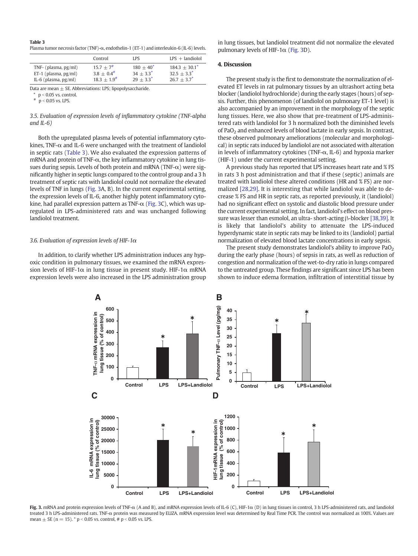<span id="page-5-0"></span>

| Table 3                                                                                    |
|--------------------------------------------------------------------------------------------|
| Plasma tumor necrosis factor (TNF)-α, endothelin-1 (ET-1) and interleukin-6 (IL-6) levels. |

|                         | Control                 | <b>LPS</b>   | $LPS$ + landiolol |
|-------------------------|-------------------------|--------------|-------------------|
| TNF- $(plasma, pg/ml)$  | $15.7 + 7$ <sup>#</sup> | $180 + 40^*$ | $184.3 + 30.1^*$  |
| ET-1 (plasma, $pg/ml$ ) | $3.8 + 0.4^{\#}$        | $34 + 33^*$  | $32.5 + 3.3^*$    |
| IL-6 (plasma, $pg/ml$ ) | $18.3 + 1.9^{\#}$       | $29 + 3.3^*$ | $26.7 + 3.7^*$    |

Data are mean  $\pm$  SE. Abbreviations: LPS; lipopolysaccharide.

 $p < 0.05$  vs. control

 $p < 0.05$  vs. LPS.

3.5. Evaluation of expression levels of inflammatory cytokine (TNF-alpha and IL-6)

Both the upregulated plasma levels of potential inflammatory cytokines, TNF- $\alpha$  and IL-6 were unchanged with the treatment of landiolol in septic rats (Table 3). We also evaluated the expression patterns of mRNA and protein of TNF-α, the key inflammatory cytokine in lung tissues during sepsis. Levels of both protein and mRNA (TNF- $\alpha$ ) were significantly higher in septic lungs compared to the control group and a 3 h treatment of septic rats with landiolol could not normalize the elevated levels of TNF in lungs (Fig. 3A, B). In the current experimental setting, the expression levels of IL-6, another highly potent inflammatory cytokine, had parallel expression pattern as TNF- $\alpha$  (Fig. 3C), which was upregulated in LPS-administered rats and was unchanged following landiolol treatment.

## 3.6. Evaluation of expression levels of HIF-1 $\alpha$

In addition, to clarify whether LPS administration induces any hypoxic condition in pulmonary tissues, we examined the mRNA expression levels of HIF-1 $\alpha$  in lung tissue in present study. HIF-1 $\alpha$  mRNA expression levels were also increased in the LPS administration group in lung tissues, but landiolol treatment did not normalize the elevated pulmonary levels of HIF-1 $\alpha$  (Fig. 3D).

## 4. Discussion

The present study is the first to demonstrate the normalization of elevated ET levels in rat pulmonary tissues by an ultrashort acting beta blocker (landiolol hydrochloride) during the early stages (hours) of sepsis. Further, this phenomenon (of landiolol on pulmonary ET-1 level) is also accompanied by an improvement in the morphology of the septic lung tissues. Here, we also show that pre-treatment of LPS-administered rats with landiolol for 3 h normalized both the diminished levels of PaO2 and enhanced levels of blood lactate in early sepsis. In contrast, these observed pulmonary ameliorations (molecular and morphological) in septic rats induced by landiolol are not associated with alteration in levels of inflammatory cytokines (TNF- $\alpha$ , IL-6) and hypoxia marker (HIF-1) under the current experimental setting.

A previous study has reported that LPS increases heart rate and % FS in rats 3 h post administration and that if these (septic) animals are treated with landiolol these altered conditions (HR and % FS) are normalized [\[28,29\]](#page-7-0). It is interesting that while landiolol was able to decrease % FS and HR in septic rats, as reported previously, it (landiolol) had no significant effect on systolic and diastolic blood pressure under the current experimental setting. In fact, landiolol's effect on blood pressure was lesser than esmolol, an ultra- short-acting β-blocker [\[38,39\].](#page-7-0) It is likely that landiolol's ability to attenuate the LPS-induced hyperdynamic state in septic rats may be linked to its (landiolol) partial normalization of elevated blood lactate concentrations in early sepsis.

The present study demonstrates landiolol's ability to improve  $PaO<sub>2</sub>$ during the early phase (hours) of sepsis in rats, as well as reduction of congestion and normalization of the wet-to-dry ratio in lungs compared to the untreated group. These findings are significant since LPS has been shown to induce edema formation, infiltration of interstitial tissue by



Fig. 3. mRNA and protein expression levels of TNF-α (A and B), and mRNA expression levels of IL-6 (C), HIF-1α (D) in lung tissues in control, 3 h LPS-administered rats, and landiolol treated 3 h LPS-administered rats. TNF-α protein was measured by ELIZA. mRNA expression level was determined by Real Time PCR. The control was normalized as 100%. Values are mean  $\pm$  SE (n = 15). \* p < 0.05 vs. control, # p < 0.05 vs. LPS.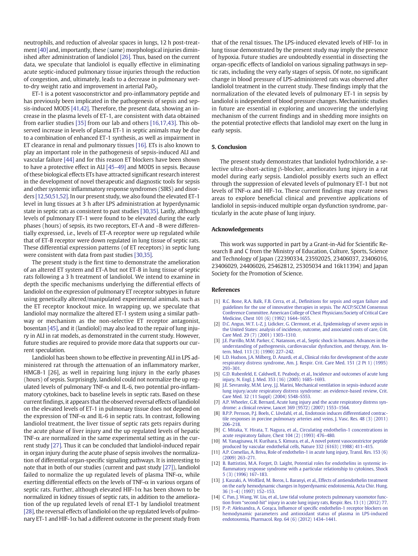<span id="page-6-0"></span>neutrophils, and reduction of alveolar spaces in lungs, 12 h post-treatment[\[40\]](#page-7-0) and, importantly, these (same) morphological injuries diminished after administration of landiolol [\[26\]](#page-7-0). Thus, based on the current data, we speculate that landiolol is equally effective in eliminating acute septic-induced pulmonary tissue injuries through the reduction of congestion, and, ultimately, leads to a decrease in pulmonary wetto-dry weight ratio and improvement in arterial PaO<sub>2</sub>.

ET-1 is a potent vasoconstrictor and pro-inflammatory peptide and has previously been implicated in the pathogenesis of sepsis and sepsis-induced MODS [\[41,42\].](#page-7-0) Therefore, the present data, showing an increase in the plasma levels of ET-1, are consistent with data obtained from earlier studies [\[35\]](#page-7-0) from our lab and others [\[16,17,43\].](#page-7-0) This observed increase in levels of plasma ET-1 in septic animals may be due to a combination of enhanced ET-1 synthesis, as well as impairment in ET clearance in renal and pulmonary tissues [\[16\].](#page-7-0) ETs is also known to play an important role in the pathogenesis of sepsis-induced ALI and vascular failure [\[44\]](#page-7-0) and for this reason ET blockers have been shown to have a protective effect in ALI [\[45](#page-7-0)–49] and MODS in sepsis. Because of these biological effects ETs have attracted significant research interest in the development of novel therapeutic and diagnostic tools for sepsis and other systemic inflammatory response syndromes (SIRS) and disorders [12,50,51,52]. In our present study, we also found the elevated ET-1 level in lung tissues at 3 h after LPS administration at hyperdynamic state in septic rats as consistent to past studies [\[30,35\]](#page-7-0). Lastly, although levels of pulmonary ET-1 were found to be elevated during the early phases (hours) of sepsis, its two receptors, ET-A and –B were differentially expressed, i.e., levels of ET-A receptor were up regulated while that of ET-B receptor were down regulated in lung tissue of septic rats. These differential expression patterns (of ET receptors) in septic lung were consistent with data from past studies [\[30,35\]](#page-7-0).

The present study is the first time to demonstrate the amelioration of an altered ET system and ET-A but not ET-B in lung tissue of septic rats following a 3 h treatment of landiolol. We intend to examine in depth the specific mechanisms underlying the differential effects of landiolol on the expression of pulmonary ET receptor subtypes in future using genetically altered/manipulated experimental animals, such as the ET receptor knockout mice. In wrapping up, we speculate that landiolol may normalize the altered ET-1 system using a similar pathway or mechanism as the non-selective ET receptor antagonist, bosentan [\[45\]](#page-7-0), and it (landiolol) may also lead to the repair of lung injury in ALI in rat models, as demonstrated in the current study. However, future studies are required to provide more data that supports our current speculation.

Landiolol has been shown to be effective in preventing ALI in LPS administered rat through the attenuation of an inflammatory marker, HMGB-1 [26], as well in repairing lung injury in the early phases (hours) of sepsis. Surprisingly, landiolol could not normalize the up regulated levels of pulmonary TNF- $\alpha$  and IL-6, two potential pro-inflammatory cytokines, back to baseline levels in septic rats. Based on these current findings, it appears that the observed reversal effects of landiolol on the elevated levels of ET-1 in pulmonary tissue does not depend on the expression of TNF- $\alpha$  and IL-6 in septic rats. In contrast, following landiolol treatment, the liver tissue of septic rats gets repairs during the acute phase of liver injury and the up regulated levels of hepatic TNF- $\alpha$  are normalized in the same experimental setting as in the current study [\[27\]](#page-7-0). Thus it can be concluded that landiolol-induced repair in organ injury during the acute phase of sepsis involves the normalization of differential organ-specific signaling pathways. It is interesting to note that in both of our studies (current and past study [\[27\]\)](#page-7-0), landiolol failed to normalize the up regulated levels of plasma TNF- $\alpha$ , while exerting differential effects on the levels of TNF- $\alpha$  in various organs of septic rats. Further, although elevated HIF-1 $\alpha$  has been shown to be normalized in kidney tissues of septic rats, in addition to the amelioration of the up regulated levels of renal ET-1 by landiolol treatment [\[28\]](#page-7-0), the reversal effects of landiolol on the up regulated levels of pulmonary ET-1 and HIF-1 $\alpha$  had a different outcome in the present study from

that of the renal tissues. The LPS-induced elevated levels of HIF-1 $\alpha$  in lung tissue demonstrated by the present study may imply the presence of hypoxia. Future studies are undoubtedly essential in dissecting the organ-specific effects of landiolol on various signaling pathways in septic rats, including the very early stages of sepsis. Of note, no significant change in blood pressure of LPS-administered rats was observed after landiolol treatment in the current study. These findings imply that the normalization of the elevated levels of pulmonary ET-1 in sepsis by landiolol is independent of blood pressure changes. Mechanistic studies in future are essential in exploring and uncovering the underlying mechanism of the current findings and in shedding more insights on the potential protective effects that landiolol may exert on the lung in early sepsis.

## 5. Conclusion

The present study demonstrates that landiolol hydrochloride, a selective ultra-short-acting β-blocker, ameliorates lung injury in a rat model during early sepsis. Landiolol possibly exerts such an effect through the suppression of elevated levels of pulmonary ET-1 but not levels of TNF-α and HIF-1α. These current findings may create news areas to explore beneficial clinical and preventive applications of landiolol in sepsis-induced multiple organ dysfunction syndrome, particularly in the acute phase of lung injury.

## Acknowledgements

This work was supported in part by a Grant-in-Aid for Scientific Research B and C from the Ministry of Education, Culture, Sports, Science and Technology of Japan (22390334, 23592025, 23406037, 23406016, 23406029, 24406026, 25462812, 25305034 and 16k11394) and Japan Society for the Promotion of Science.

#### References

- [1] [R.C. Bone, R.A. Balk, F.B. Cerra, et al., De](http://refhub.elsevier.com/S0024-3205(16)30601-4/rf0005)finitions for sepsis and organ failure and [guidelines for the use of innovative therapies in sepsis. The ACCP/SCCM Consensus](http://refhub.elsevier.com/S0024-3205(16)30601-4/rf0005) [Conference Committee. American College of Chest Physicians/Society of Critical Care](http://refhub.elsevier.com/S0024-3205(16)30601-4/rf0005) [Medicine, Chest 101 \(6\) \(1992\) 1644](http://refhub.elsevier.com/S0024-3205(16)30601-4/rf0005)–1655.
- [2] [D.C. Angus, W.T. L-Z, J. Lidicker, G. Clermont, et al., Epidemiology of severe sepsis in](http://refhub.elsevier.com/S0024-3205(16)30601-4/rf0010) [the United States: analysis of incidence, outcome, and associated costs of care, Crit.](http://refhub.elsevier.com/S0024-3205(16)30601-4/rf0010) [Care Med. 29 \(7\) \(2001\) 1303](http://refhub.elsevier.com/S0024-3205(16)30601-4/rf0010)–1310.
- [3] [J.E. Parrillo, M.M. Parker, C. Natanson, et al., Septic shock in humans. Advances in the](http://refhub.elsevier.com/S0024-3205(16)30601-4/rf0015) [understanding of pathogenesis, cardiovascular dysfunction, and therapy, Ann. In](http://refhub.elsevier.com/S0024-3205(16)30601-4/rf0015)[tern. Med. 113 \(3\) \(1990\) 227](http://refhub.elsevier.com/S0024-3205(16)30601-4/rf0015)–242.
- [4] [L.D. Hudson, J.A. Milberg, D. Anardi, et al., Clinical risks for development of the acute](http://refhub.elsevier.com/S0024-3205(16)30601-4/rf0020) [respiratory distress syndrome, Am. J. Respir. Crit. Care Med. 151 \(2 Pt 1\) \(1995\)](http://refhub.elsevier.com/S0024-3205(16)30601-4/rf0020) [293](http://refhub.elsevier.com/S0024-3205(16)30601-4/rf0020)–301.
- [5] [G.D. Rubenfeld, E. Caldwell, E. Peabody, et al., Incidence and outcomes of acute lung](http://refhub.elsevier.com/S0024-3205(16)30601-4/rf0025) [injury, N. Engl. J. Med. 353 \(16\) \(2005\) 1685](http://refhub.elsevier.com/S0024-3205(16)30601-4/rf0025)–1693.
- [J.E. Sevransky, M.M. Levy, J.J. Marini, Mechanical ventilation in sepsis-induced acute](http://refhub.elsevier.com/S0024-3205(16)30601-4/rf0030) [lung injury/acute respiratory distress syndrome: an evidence-based review, Crit.](http://refhub.elsevier.com/S0024-3205(16)30601-4/rf0030) [Care Med. 32 \(11 Suppl\) \(2004\) S548](http://refhub.elsevier.com/S0024-3205(16)30601-4/rf0030)–S553.
- [7] [A.P. Wheeler, G.R. Bernard, Acute lung injury and the acute respiratory distress syn](http://refhub.elsevier.com/S0024-3205(16)30601-4/rf0035)[drome: a clinical review, Lancet 369 \(9572\) \(2007\) 1553](http://refhub.elsevier.com/S0024-3205(16)30601-4/rf0035)–1564.
- [8] [B.P.P. Persson, P.J. Boels, C. Lövdahl, et al., Endotoxin induces differentiated contrac](http://refhub.elsevier.com/S0024-3205(16)30601-4/rf0040)[tile responses in porcine pulmonary arteries and veins, J. Vasc. Res. 48 \(3\) \(2011\)](http://refhub.elsevier.com/S0024-3205(16)30601-4/rf0040) [206](http://refhub.elsevier.com/S0024-3205(16)30601-4/rf0040)–218.
- [9] [C. Mitaka, Y. Hirata, T. Nagura, et al., Circulating endothelin-1 concentrations in](http://refhub.elsevier.com/S0024-3205(16)30601-4/rf0045) [acute respiratory failure, Chest 104 \(2\) \(1993\) 476](http://refhub.elsevier.com/S0024-3205(16)30601-4/rf0045)–480.
- [10] [M. Yanagisawa, H. Kurihara, S. Kimura, et al., A novel potent vasoconstrictor peptide](http://refhub.elsevier.com/S0024-3205(16)30601-4/rf0050) [produced by vascular endothelial cells, Nature 332 \(6163\) \(1988\) 411](http://refhub.elsevier.com/S0024-3205(16)30601-4/rf0050)–415.
- [11] [A.P. Comellas, A. Briva, Role of endothelin-1 in acute lung injury, Transl. Res. 153 \(6\)](http://refhub.elsevier.com/S0024-3205(16)30601-4/rf0055) [\(2009\) 263](http://refhub.elsevier.com/S0024-3205(16)30601-4/rf0055)–271.
- [12] [B. Battistini, M.A. Forget, D. Laight, Potential roles for endothelins in systemic in](http://refhub.elsevier.com/S0024-3205(16)30601-4/rf0060)fl[ammatory response syndrome with a particular relationship to cytokines, Shock](http://refhub.elsevier.com/S0024-3205(16)30601-4/rf0060) [5 \(3\) \(1996\) 167](http://refhub.elsevier.com/S0024-3205(16)30601-4/rf0060)–183.
- [13] [J. Kaszaki, A. Wolfárd, M. Boros, L. Baranyi, et al., Effects of antiendothelin treatment](http://refhub.elsevier.com/S0024-3205(16)30601-4/rf0065) [on the early hemodynamic changes in hyperdynamic endotoxemia, Acta Chir. Hung.](http://refhub.elsevier.com/S0024-3205(16)30601-4/rf0065) 36 (1–[4\) \(1997\) 152](http://refhub.elsevier.com/S0024-3205(16)30601-4/rf0065)–153.
- [14] [C. Pan, J. Wang, W. Liu, et al., Low tidal volume protects pulmonary vasomotor func](http://refhub.elsevier.com/S0024-3205(16)30601-4/rf0070)tion from "second-hit" [injury in acute lung injury rats, Respir. Res. 13 \(1\) \(2012\) 77](http://refhub.elsevier.com/S0024-3205(16)30601-4/rf0070).
- [15] P.-P. Aleksandra, A. Gorąca, Influence of specifi[c endothelin-1 receptor blockers on](http://refhub.elsevier.com/S0024-3205(16)30601-4/rf0075) [hemodynamic parameters and antioxidant status of plasma in LPS-induced](http://refhub.elsevier.com/S0024-3205(16)30601-4/rf0075) [endotoxemia, Pharmacol. Rep. 64 \(6\) \(2012\) 1434](http://refhub.elsevier.com/S0024-3205(16)30601-4/rf0075)–1441.